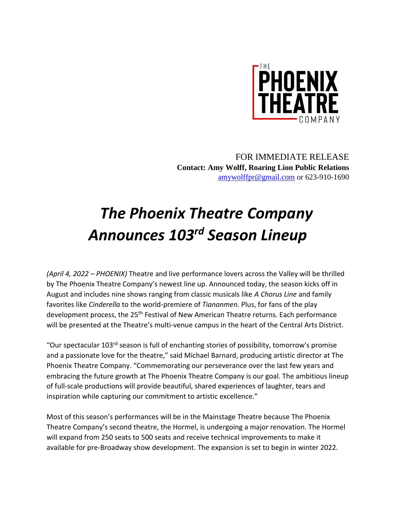

FOR IMMEDIATE RELEASE **Contact: Amy Wolff, Roaring Lion Public Relations** [amywolffpr@gmail.com](mailto:amywolffpr@gmail.com) or 623-910-1690

# *The Phoenix Theatre Company Announces 103rd Season Lineup*

*(April 4, 2022 – PHOENIX)* Theatre and live performance lovers across the Valley will be thrilled by The Phoenix Theatre Company's newest line up. Announced today, the season kicks off in August and includes nine shows ranging from classic musicals like *A Chorus Line* and family favorites like *Cinderella* to the world-premiere of *Tiananmen.* Plus, for fans of the play development process, the 25<sup>th</sup> Festival of New American Theatre returns. Each performance will be presented at the Theatre's multi-venue campus in the heart of the Central Arts District.

"Our spectacular 103rd season is full of enchanting stories of possibility, tomorrow's promise and a passionate love for the theatre," said Michael Barnard, producing artistic director at The Phoenix Theatre Company. "Commemorating our perseverance over the last few years and embracing the future growth at The Phoenix Theatre Company is our goal. The ambitious lineup of full-scale productions will provide beautiful, shared experiences of laughter, tears and inspiration while capturing our commitment to artistic excellence."

Most of this season's performances will be in the Mainstage Theatre because The Phoenix Theatre Company's second theatre, the Hormel, is undergoing a major renovation. The Hormel will expand from 250 seats to 500 seats and receive technical improvements to make it available for pre-Broadway show development. The expansion is set to begin in winter 2022.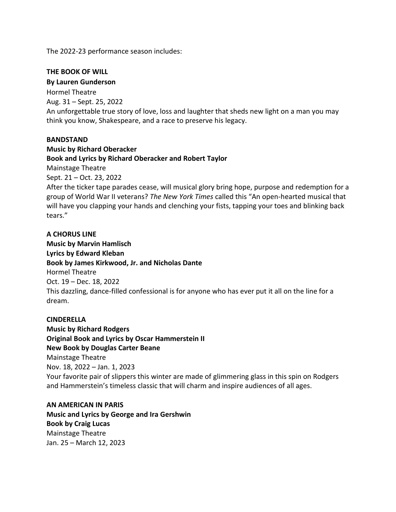The 2022-23 performance season includes:

# **THE BOOK OF WILL**

**By Lauren Gunderson** Hormel Theatre Aug. 31 – Sept. 25, 2022 An unforgettable true story of love, loss and laughter that sheds new light on a man you may think you know, Shakespeare, and a race to preserve his legacy.

## **BANDSTAND**

**Music by Richard Oberacker Book and Lyrics by Richard Oberacker and Robert Taylor** Mainstage Theatre Sept. 21 – Oct. 23, 2022 After the ticker tape parades cease, will musical glory bring hope, purpose and redemption for a group of World War II veterans? *The New York Times* called this "An open-hearted musical that will have you clapping your hands and clenching your fists, tapping your toes and blinking back tears."

**A CHORUS LINE Music by Marvin Hamlisch Lyrics by Edward Kleban Book by James Kirkwood, Jr. and Nicholas Dante** Hormel Theatre Oct. 19 – Dec. 18, 2022 This dazzling, dance-filled confessional is for anyone who has ever put it all on the line for a dream.

## **CINDERELLA**

**Music by Richard Rodgers Original Book and Lyrics by Oscar Hammerstein II New Book by Douglas Carter Beane** Mainstage Theatre Nov. 18, 2022 – Jan. 1, 2023 Your favorite pair of slippers this winter are made of glimmering glass in this spin on Rodgers and Hammerstein's timeless classic that will charm and inspire audiences of all ages.

**AN AMERICAN IN PARIS Music and Lyrics by George and Ira Gershwin Book by Craig Lucas** Mainstage Theatre Jan. 25 – March 12, 2023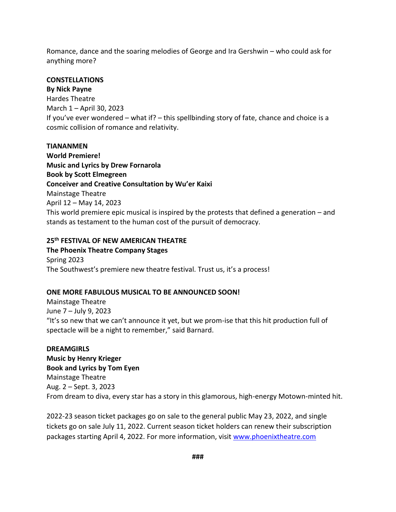Romance, dance and the soaring melodies of George and Ira Gershwin – who could ask for anything more?

## **CONSTELLATIONS**

**By Nick Payne** Hardes Theatre March 1 – April 30, 2023 If you've ever wondered – what if? – this spellbinding story of fate, chance and choice is a cosmic collision of romance and relativity.

#### **TIANANMEN**

**World Premiere! Music and Lyrics by Drew Fornarola Book by Scott Elmegreen Conceiver and Creative Consultation by Wu'er Kaixi** Mainstage Theatre April 12 – May 14, 2023 This world premiere epic musical is inspired by the protests that defined a generation – and stands as testament to the human cost of the pursuit of democracy.

## **25th FESTIVAL OF NEW AMERICAN THEATRE**

**The Phoenix Theatre Company Stages** Spring 2023 The Southwest's premiere new theatre festival. Trust us, it's a process!

# **ONE MORE FABULOUS MUSICAL TO BE ANNOUNCED SOON!**

Mainstage Theatre June 7 – July 9, 2023 "It's so new that we can't announce it yet, but we prom-ise that this hit production full of spectacle will be a night to remember," said Barnard.

#### **DREAMGIRLS**

**Music by Henry Krieger Book and Lyrics by Tom Eyen** Mainstage Theatre Aug. 2 – Sept. 3, 2023 From dream to diva, every star has a story in this glamorous, high-energy Motown-minted hit.

2022-23 season ticket packages go on sale to the general public May 23, 2022, and single tickets go on sale July 11, 2022. Current season ticket holders can renew their subscription packages starting April 4, 2022. For more information, visit [www.phoenixtheatre.com](http://www.phoenixtheatre.com/)